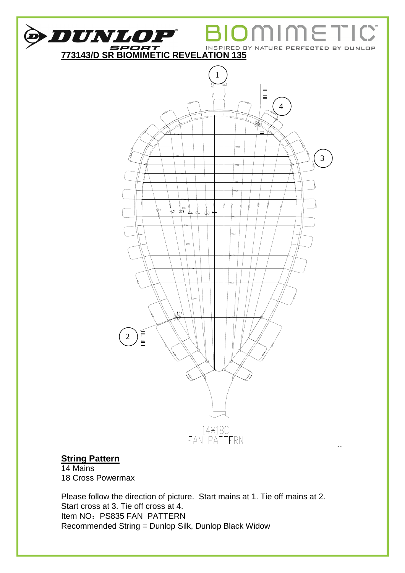

14 Mains 18 Cross Powermax

Please follow the direction of picture. Start mains at 1. Tie off mains at 2. Start cross at 3. Tie off cross at 4. Item NO: PS835 FAN PATTERN Recommended String = Dunlop Silk, Dunlop Black Widow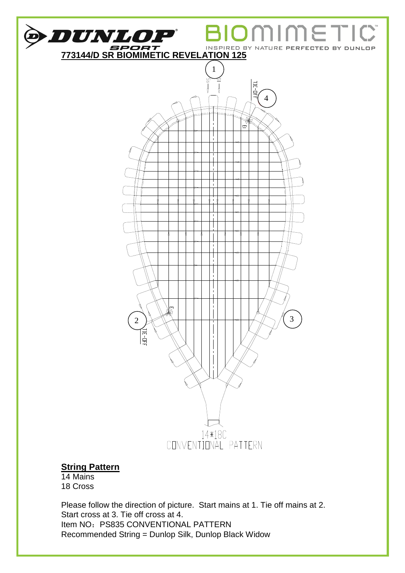

14 Mains 18 Cross

Please follow the direction of picture. Start mains at 1. Tie off mains at 2. Start cross at 3. Tie off cross at 4. Item NO: PS835 CONVENTIONAL PATTERN Recommended String = Dunlop Silk, Dunlop Black Widow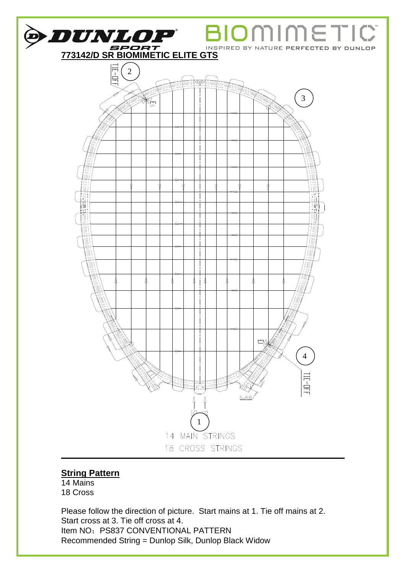

14 Mains 18 Cross

Please follow the direction of picture. Start mains at 1. Tie off mains at 2. Start cross at 3. Tie off cross at 4. Item NO: PS837 CONVENTIONAL PATTERN Recommended String = Dunlop Silk, Dunlop Black Widow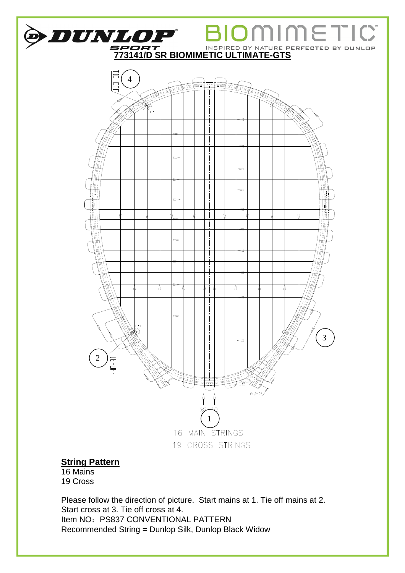

16 Mains 19 Cross

Please follow the direction of picture. Start mains at 1. Tie off mains at 2. Start cross at 3. Tie off cross at 4. Item NO: PS837 CONVENTIONAL PATTERN Recommended String = Dunlop Silk, Dunlop Black Widow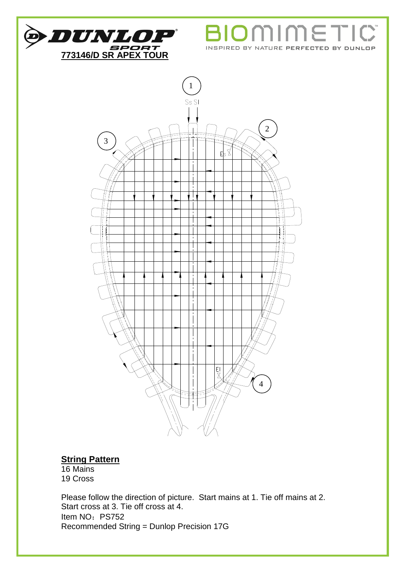

וו Ť  $\blacksquare$ INSPIRED BY NATURE PERFECTED BY DUNLOP



### **String Pattern**

16 Mains 19 Cross

Please follow the direction of picture. Start mains at 1. Tie off mains at 2. Start cross at 3. Tie off cross at 4. Item NO: PS752 Recommended String = Dunlop Precision 17G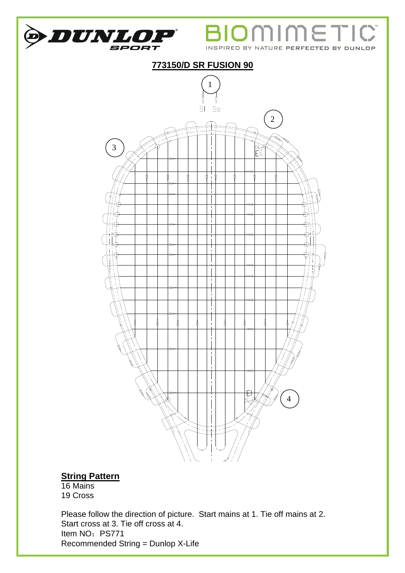

16 Mains 19 Cross

Please follow the direction of picture. Start mains at 1. Tie off mains at 2. Start cross at 3. Tie off cross at 4. Item NO: PS771 Recommended String = Dunlop X-Life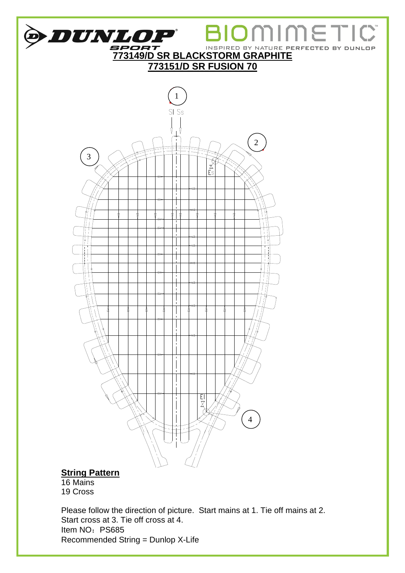

16 Mains 19 Cross

Please follow the direction of picture. Start mains at 1. Tie off mains at 2. Start cross at 3. Tie off cross at 4. Item NO: PS685 Recommended String = Dunlop X-Life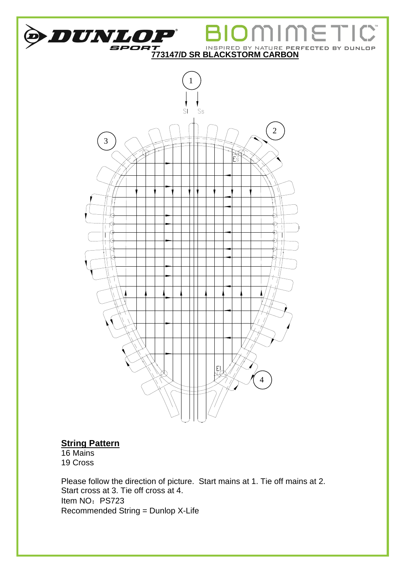

16 Mains 19 Cross

Please follow the direction of picture. Start mains at 1. Tie off mains at 2. Start cross at 3. Tie off cross at 4. Item NO: PS723 Recommended String = Dunlop X-Life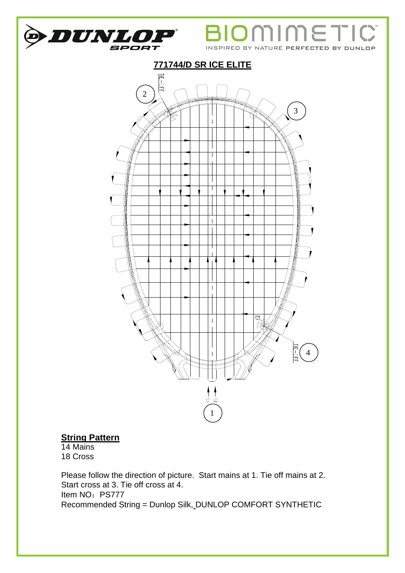

Υ וו

INSPIRED BY NATURE PERFECTED BY DUNLOP



### **String Pattern**

14 Mains 18 Cross

Please follow the direction of picture. Start mains at 1. Tie off mains at 2. Start cross at 3. Tie off cross at 4. Item NO: PS777 Recommended String = Dunlop Silk, DUNLOP COMFORT SYNTHETIC